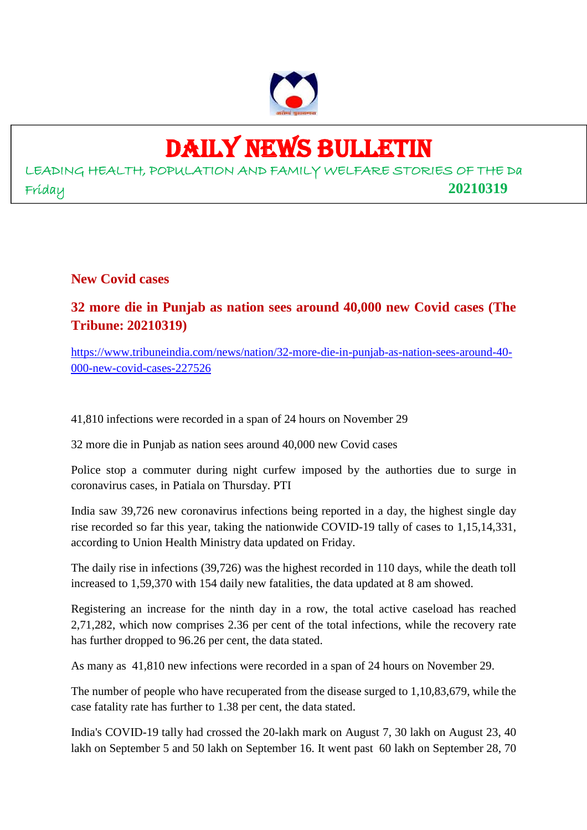

# DAILY NEWS BULLETIN

LEADING HEALTH, POPULATION AND FAMILY WELFARE STORIES OF THE Da Friday **20210319**

**New Covid cases**

**32 more die in Punjab as nation sees around 40,000 new Covid cases (The Tribune: 20210319)**

https://www.tribuneindia.com/news/nation/32-more-die-in-punjab-as-nation-sees-around-40- 000-new-covid-cases-227526

41,810 infections were recorded in a span of 24 hours on November 29

32 more die in Punjab as nation sees around 40,000 new Covid cases

Police stop a commuter during night curfew imposed by the authorties due to surge in coronavirus cases, in Patiala on Thursday. PTI

India saw 39,726 new coronavirus infections being reported in a day, the highest single day rise recorded so far this year, taking the nationwide COVID-19 tally of cases to 1,15,14,331, according to Union Health Ministry data updated on Friday.

The daily rise in infections (39,726) was the highest recorded in 110 days, while the death toll increased to 1,59,370 with 154 daily new fatalities, the data updated at 8 am showed.

Registering an increase for the ninth day in a row, the total active caseload has reached 2,71,282, which now comprises 2.36 per cent of the total infections, while the recovery rate has further dropped to 96.26 per cent, the data stated.

As many as 41,810 new infections were recorded in a span of 24 hours on November 29.

The number of people who have recuperated from the disease surged to 1,10,83,679, while the case fatality rate has further to 1.38 per cent, the data stated.

India's COVID-19 tally had crossed the 20-lakh mark on August 7, 30 lakh on August 23, 40 lakh on September 5 and 50 lakh on September 16. It went past 60 lakh on September 28, 70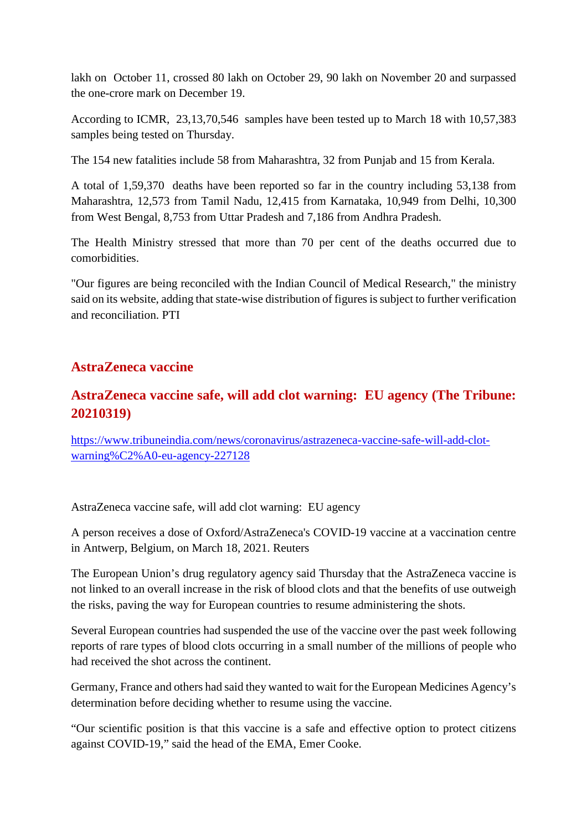lakh on October 11, crossed 80 lakh on October 29, 90 lakh on November 20 and surpassed the one-crore mark on December 19.

According to ICMR, 23,13,70,546 samples have been tested up to March 18 with 10,57,383 samples being tested on Thursday.

The 154 new fatalities include 58 from Maharashtra, 32 from Punjab and 15 from Kerala.

A total of 1,59,370 deaths have been reported so far in the country including 53,138 from Maharashtra, 12,573 from Tamil Nadu, 12,415 from Karnataka, 10,949 from Delhi, 10,300 from West Bengal, 8,753 from Uttar Pradesh and 7,186 from Andhra Pradesh.

The Health Ministry stressed that more than 70 per cent of the deaths occurred due to comorbidities.

"Our figures are being reconciled with the Indian Council of Medical Research," the ministry said on its website, adding that state-wise distribution of figures is subject to further verification and reconciliation. PTI

#### **AstraZeneca vaccine**

## **AstraZeneca vaccine safe, will add clot warning: EU agency (The Tribune: 20210319)**

https://www.tribuneindia.com/news/coronavirus/astrazeneca-vaccine-safe-will-add-clotwarning%C2%A0-eu-agency-227128

AstraZeneca vaccine safe, will add clot warning: EU agency

A person receives a dose of Oxford/AstraZeneca's COVID-19 vaccine at a vaccination centre in Antwerp, Belgium, on March 18, 2021. Reuters

The European Union's drug regulatory agency said Thursday that the AstraZeneca vaccine is not linked to an overall increase in the risk of blood clots and that the benefits of use outweigh the risks, paving the way for European countries to resume administering the shots.

Several European countries had suspended the use of the vaccine over the past week following reports of rare types of blood clots occurring in a small number of the millions of people who had received the shot across the continent.

Germany, France and others had said they wanted to wait for the European Medicines Agency's determination before deciding whether to resume using the vaccine.

"Our scientific position is that this vaccine is a safe and effective option to protect citizens against COVID-19," said the head of the EMA, Emer Cooke.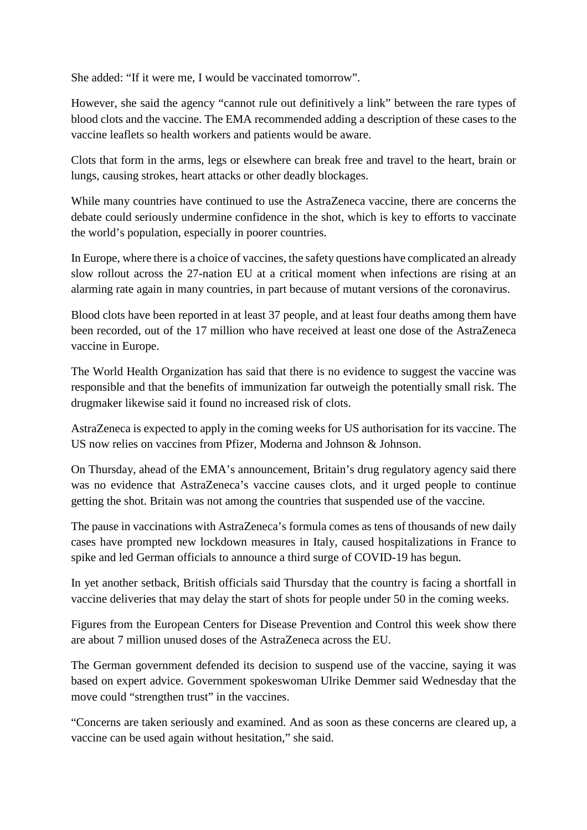She added: "If it were me, I would be vaccinated tomorrow".

However, she said the agency "cannot rule out definitively a link" between the rare types of blood clots and the vaccine. The EMA recommended adding a description of these cases to the vaccine leaflets so health workers and patients would be aware.

Clots that form in the arms, legs or elsewhere can break free and travel to the heart, brain or lungs, causing strokes, heart attacks or other deadly blockages.

While many countries have continued to use the AstraZeneca vaccine, there are concerns the debate could seriously undermine confidence in the shot, which is key to efforts to vaccinate the world's population, especially in poorer countries.

In Europe, where there is a choice of vaccines, the safety questions have complicated an already slow rollout across the 27-nation EU at a critical moment when infections are rising at an alarming rate again in many countries, in part because of mutant versions of the coronavirus.

Blood clots have been reported in at least 37 people, and at least four deaths among them have been recorded, out of the 17 million who have received at least one dose of the AstraZeneca vaccine in Europe.

The World Health Organization has said that there is no evidence to suggest the vaccine was responsible and that the benefits of immunization far outweigh the potentially small risk. The drugmaker likewise said it found no increased risk of clots.

AstraZeneca is expected to apply in the coming weeks for US authorisation for its vaccine. The US now relies on vaccines from Pfizer, Moderna and Johnson & Johnson.

On Thursday, ahead of the EMA's announcement, Britain's drug regulatory agency said there was no evidence that AstraZeneca's vaccine causes clots, and it urged people to continue getting the shot. Britain was not among the countries that suspended use of the vaccine.

The pause in vaccinations with AstraZeneca's formula comes as tens of thousands of new daily cases have prompted new lockdown measures in Italy, caused hospitalizations in France to spike and led German officials to announce a third surge of COVID-19 has begun.

In yet another setback, British officials said Thursday that the country is facing a shortfall in vaccine deliveries that may delay the start of shots for people under 50 in the coming weeks.

Figures from the European Centers for Disease Prevention and Control this week show there are about 7 million unused doses of the AstraZeneca across the EU.

The German government defended its decision to suspend use of the vaccine, saying it was based on expert advice. Government spokeswoman Ulrike Demmer said Wednesday that the move could "strengthen trust" in the vaccines.

"Concerns are taken seriously and examined. And as soon as these concerns are cleared up, a vaccine can be used again without hesitation," she said.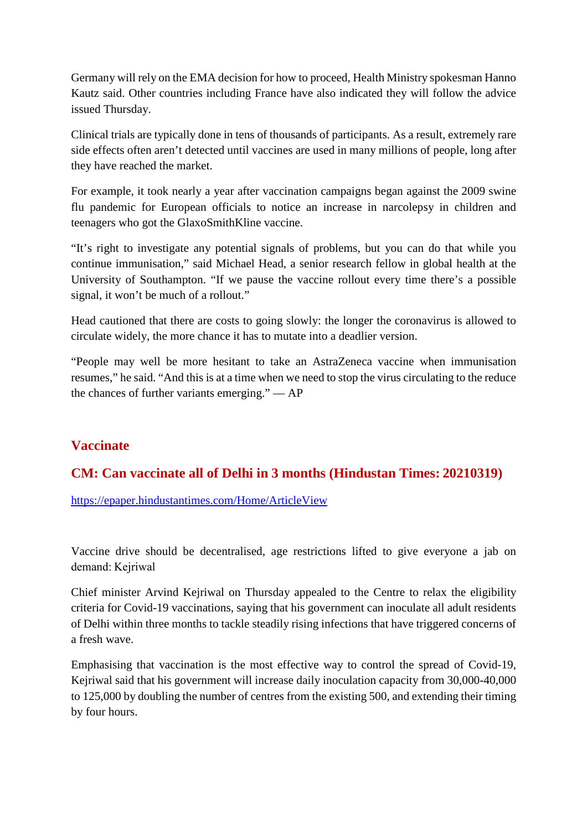Germany will rely on the EMA decision for how to proceed, Health Ministry spokesman Hanno Kautz said. Other countries including France have also indicated they will follow the advice issued Thursday.

Clinical trials are typically done in tens of thousands of participants. As a result, extremely rare side effects often aren't detected until vaccines are used in many millions of people, long after they have reached the market.

For example, it took nearly a year after vaccination campaigns began against the 2009 swine flu pandemic for European officials to notice an increase in narcolepsy in children and teenagers who got the GlaxoSmithKline vaccine.

"It's right to investigate any potential signals of problems, but you can do that while you continue immunisation," said Michael Head, a senior research fellow in global health at the University of Southampton. "If we pause the vaccine rollout every time there's a possible signal, it won't be much of a rollout."

Head cautioned that there are costs to going slowly: the longer the coronavirus is allowed to circulate widely, the more chance it has to mutate into a deadlier version.

"People may well be more hesitant to take an AstraZeneca vaccine when immunisation resumes," he said. "And this is at a time when we need to stop the virus circulating to the reduce the chances of further variants emerging." — AP

#### **Vaccinate**

## **CM: Can vaccinate all of Delhi in 3 months (Hindustan Times: 20210319)**

https://epaper.hindustantimes.com/Home/ArticleView

Vaccine drive should be decentralised, age restrictions lifted to give everyone a jab on demand: Kejriwal

Chief minister Arvind Kejriwal on Thursday appealed to the Centre to relax the eligibility criteria for Covid-19 vaccinations, saying that his government can inoculate all adult residents of Delhi within three months to tackle steadily rising infections that have triggered concerns of a fresh wave.

Emphasising that vaccination is the most effective way to control the spread of Covid-19, Kejriwal said that his government will increase daily inoculation capacity from 30,000-40,000 to 125,000 by doubling the number of centres from the existing 500, and extending their timing by four hours.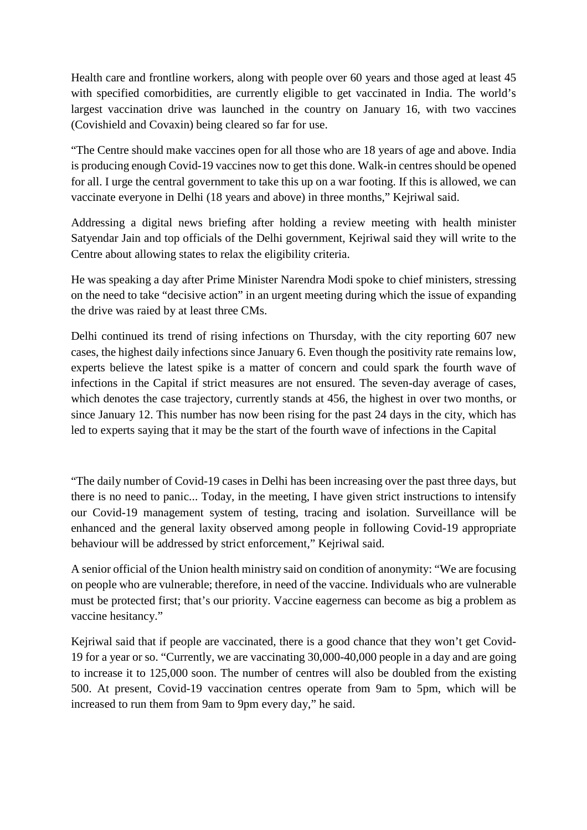Health care and frontline workers, along with people over 60 years and those aged at least 45 with specified comorbidities, are currently eligible to get vaccinated in India. The world's largest vaccination drive was launched in the country on January 16, with two vaccines (Covishield and Covaxin) being cleared so far for use.

"The Centre should make vaccines open for all those who are 18 years of age and above. India is producing enough Covid-19 vaccines now to get this done. Walk-in centres should be opened for all. I urge the central government to take this up on a war footing. If this is allowed, we can vaccinate everyone in Delhi (18 years and above) in three months," Kejriwal said.

Addressing a digital news briefing after holding a review meeting with health minister Satyendar Jain and top officials of the Delhi government, Kejriwal said they will write to the Centre about allowing states to relax the eligibility criteria.

He was speaking a day after Prime Minister Narendra Modi spoke to chief ministers, stressing on the need to take "decisive action" in an urgent meeting during which the issue of expanding the drive was raied by at least three CMs.

Delhi continued its trend of rising infections on Thursday, with the city reporting 607 new cases, the highest daily infections since January 6. Even though the positivity rate remains low, experts believe the latest spike is a matter of concern and could spark the fourth wave of infections in the Capital if strict measures are not ensured. The seven-day average of cases, which denotes the case trajectory, currently stands at 456, the highest in over two months, or since January 12. This number has now been rising for the past 24 days in the city, which has led to experts saying that it may be the start of the fourth wave of infections in the Capital

"The daily number of Covid-19 cases in Delhi has been increasing over the past three days, but there is no need to panic... Today, in the meeting, I have given strict instructions to intensify our Covid-19 management system of testing, tracing and isolation. Surveillance will be enhanced and the general laxity observed among people in following Covid-19 appropriate behaviour will be addressed by strict enforcement," Kejriwal said.

A senior official of the Union health ministry said on condition of anonymity: "We are focusing on people who are vulnerable; therefore, in need of the vaccine. Individuals who are vulnerable must be protected first; that's our priority. Vaccine eagerness can become as big a problem as vaccine hesitancy."

Kejriwal said that if people are vaccinated, there is a good chance that they won't get Covid-19 for a year or so. "Currently, we are vaccinating 30,000-40,000 people in a day and are going to increase it to 125,000 soon. The number of centres will also be doubled from the existing 500. At present, Covid-19 vaccination centres operate from 9am to 5pm, which will be increased to run them from 9am to 9pm every day," he said.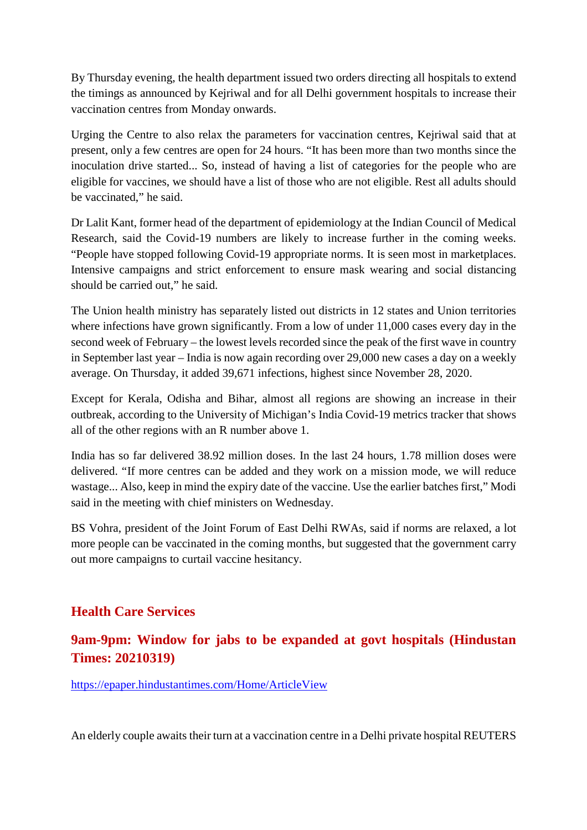By Thursday evening, the health department issued two orders directing all hospitals to extend the timings as announced by Kejriwal and for all Delhi government hospitals to increase their vaccination centres from Monday onwards.

Urging the Centre to also relax the parameters for vaccination centres, Kejriwal said that at present, only a few centres are open for 24 hours. "It has been more than two months since the inoculation drive started... So, instead of having a list of categories for the people who are eligible for vaccines, we should have a list of those who are not eligible. Rest all adults should be vaccinated," he said.

Dr Lalit Kant, former head of the department of epidemiology at the Indian Council of Medical Research, said the Covid-19 numbers are likely to increase further in the coming weeks. "People have stopped following Covid-19 appropriate norms. It is seen most in marketplaces. Intensive campaigns and strict enforcement to ensure mask wearing and social distancing should be carried out," he said.

The Union health ministry has separately listed out districts in 12 states and Union territories where infections have grown significantly. From a low of under 11,000 cases every day in the second week of February – the lowest levels recorded since the peak of the first wave in country in September last year – India is now again recording over 29,000 new cases a day on a weekly average. On Thursday, it added 39,671 infections, highest since November 28, 2020.

Except for Kerala, Odisha and Bihar, almost all regions are showing an increase in their outbreak, according to the University of Michigan's India Covid-19 metrics tracker that shows all of the other regions with an R number above 1.

India has so far delivered 38.92 million doses. In the last 24 hours, 1.78 million doses were delivered. "If more centres can be added and they work on a mission mode, we will reduce wastage... Also, keep in mind the expiry date of the vaccine. Use the earlier batches first," Modi said in the meeting with chief ministers on Wednesday.

BS Vohra, president of the Joint Forum of East Delhi RWAs, said if norms are relaxed, a lot more people can be vaccinated in the coming months, but suggested that the government carry out more campaigns to curtail vaccine hesitancy.

## **Health Care Services**

## **9am-9pm: Window for jabs to be expanded at govt hospitals (Hindustan Times: 20210319)**

https://epaper.hindustantimes.com/Home/ArticleView

An elderly couple awaits their turn at a vaccination centre in a Delhi private hospital REUTERS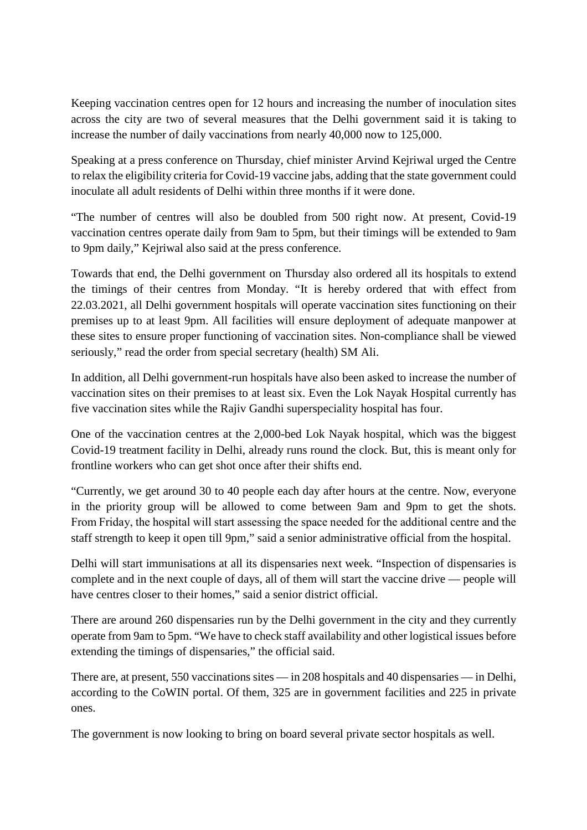Keeping vaccination centres open for 12 hours and increasing the number of inoculation sites across the city are two of several measures that the Delhi government said it is taking to increase the number of daily vaccinations from nearly 40,000 now to 125,000.

Speaking at a press conference on Thursday, chief minister Arvind Kejriwal urged the Centre to relax the eligibility criteria for Covid-19 vaccine jabs, adding that the state government could inoculate all adult residents of Delhi within three months if it were done.

"The number of centres will also be doubled from 500 right now. At present, Covid-19 vaccination centres operate daily from 9am to 5pm, but their timings will be extended to 9am to 9pm daily," Kejriwal also said at the press conference.

Towards that end, the Delhi government on Thursday also ordered all its hospitals to extend the timings of their centres from Monday. "It is hereby ordered that with effect from 22.03.2021, all Delhi government hospitals will operate vaccination sites functioning on their premises up to at least 9pm. All facilities will ensure deployment of adequate manpower at these sites to ensure proper functioning of vaccination sites. Non-compliance shall be viewed seriously," read the order from special secretary (health) SM Ali.

In addition, all Delhi government-run hospitals have also been asked to increase the number of vaccination sites on their premises to at least six. Even the Lok Nayak Hospital currently has five vaccination sites while the Rajiv Gandhi superspeciality hospital has four.

One of the vaccination centres at the 2,000-bed Lok Nayak hospital, which was the biggest Covid-19 treatment facility in Delhi, already runs round the clock. But, this is meant only for frontline workers who can get shot once after their shifts end.

"Currently, we get around 30 to 40 people each day after hours at the centre. Now, everyone in the priority group will be allowed to come between 9am and 9pm to get the shots. From Friday, the hospital will start assessing the space needed for the additional centre and the staff strength to keep it open till 9pm," said a senior administrative official from the hospital.

Delhi will start immunisations at all its dispensaries next week. "Inspection of dispensaries is complete and in the next couple of days, all of them will start the vaccine drive — people will have centres closer to their homes," said a senior district official.

There are around 260 dispensaries run by the Delhi government in the city and they currently operate from 9am to 5pm. "We have to check staff availability and other logistical issues before extending the timings of dispensaries," the official said.

There are, at present, 550 vaccinations sites — in 208 hospitals and 40 dispensaries — in Delhi, according to the CoWIN portal. Of them, 325 are in government facilities and 225 in private ones.

The government is now looking to bring on board several private sector hospitals as well.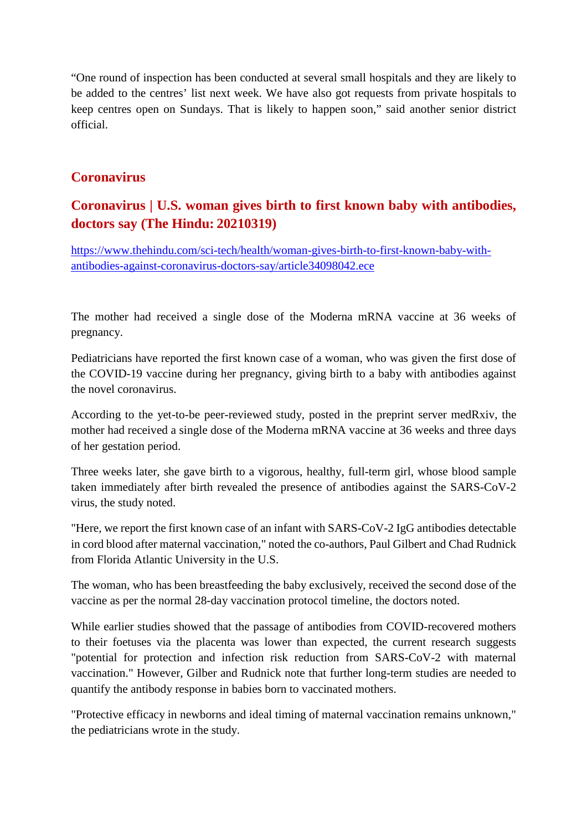"One round of inspection has been conducted at several small hospitals and they are likely to be added to the centres' list next week. We have also got requests from private hospitals to keep centres open on Sundays. That is likely to happen soon," said another senior district official.

#### **Coronavirus**

## **Coronavirus | U.S. woman gives birth to first known baby with antibodies, doctors say (The Hindu: 20210319)**

https://www.thehindu.com/sci-tech/health/woman-gives-birth-to-first-known-baby-withantibodies-against-coronavirus-doctors-say/article34098042.ece

The mother had received a single dose of the Moderna mRNA vaccine at 36 weeks of pregnancy.

Pediatricians have reported the first known case of a woman, who was given the first dose of the COVID-19 vaccine during her pregnancy, giving birth to a baby with antibodies against the novel coronavirus.

According to the yet-to-be peer-reviewed study, posted in the preprint server medRxiv, the mother had received a single dose of the Moderna mRNA vaccine at 36 weeks and three days of her gestation period.

Three weeks later, she gave birth to a vigorous, healthy, full-term girl, whose blood sample taken immediately after birth revealed the presence of antibodies against the SARS-CoV-2 virus, the study noted.

"Here, we report the first known case of an infant with SARS-CoV-2 IgG antibodies detectable in cord blood after maternal vaccination," noted the co-authors, Paul Gilbert and Chad Rudnick from Florida Atlantic University in the U.S.

The woman, who has been breastfeeding the baby exclusively, received the second dose of the vaccine as per the normal 28-day vaccination protocol timeline, the doctors noted.

While earlier studies showed that the passage of antibodies from COVID-recovered mothers to their foetuses via the placenta was lower than expected, the current research suggests "potential for protection and infection risk reduction from SARS-CoV-2 with maternal vaccination." However, Gilber and Rudnick note that further long-term studies are needed to quantify the antibody response in babies born to vaccinated mothers.

"Protective efficacy in newborns and ideal timing of maternal vaccination remains unknown," the pediatricians wrote in the study.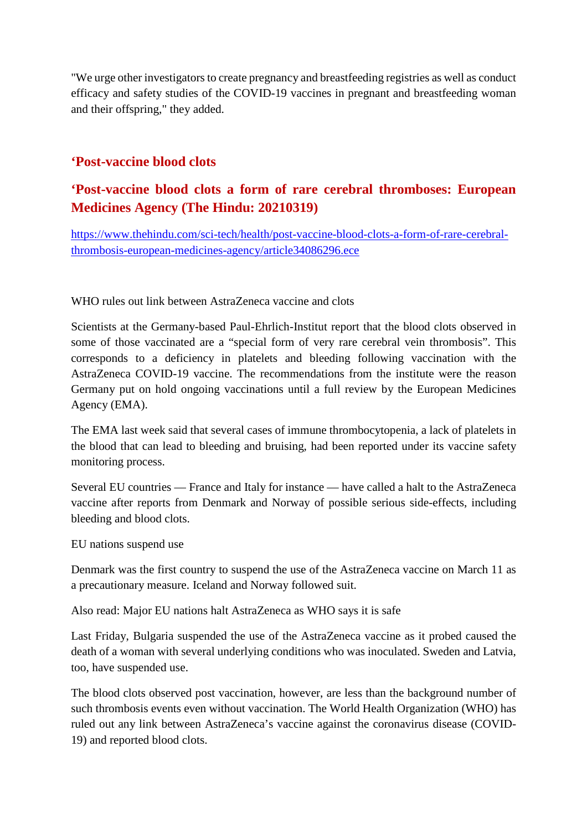"We urge other investigators to create pregnancy and breastfeeding registries as well as conduct efficacy and safety studies of the COVID-19 vaccines in pregnant and breastfeeding woman and their offspring," they added.

#### **'Post-vaccine blood clots**

#### **'Post-vaccine blood clots a form of rare cerebral thromboses: European Medicines Agency (The Hindu: 20210319)**

https://www.thehindu.com/sci-tech/health/post-vaccine-blood-clots-a-form-of-rare-cerebralthrombosis-european-medicines-agency/article34086296.ece

WHO rules out link between AstraZeneca vaccine and clots

Scientists at the Germany-based Paul-Ehrlich-Institut report that the blood clots observed in some of those vaccinated are a "special form of very rare cerebral vein thrombosis". This corresponds to a deficiency in platelets and bleeding following vaccination with the AstraZeneca COVID-19 vaccine. The recommendations from the institute were the reason Germany put on hold ongoing vaccinations until a full review by the European Medicines Agency (EMA).

The EMA last week said that several cases of immune thrombocytopenia, a lack of platelets in the blood that can lead to bleeding and bruising, had been reported under its vaccine safety monitoring process.

Several EU countries — France and Italy for instance — have called a halt to the AstraZeneca vaccine after reports from Denmark and Norway of possible serious side-effects, including bleeding and blood clots.

EU nations suspend use

Denmark was the first country to suspend the use of the AstraZeneca vaccine on March 11 as a precautionary measure. Iceland and Norway followed suit.

Also read: Major EU nations halt AstraZeneca as WHO says it is safe

Last Friday, Bulgaria suspended the use of the AstraZeneca vaccine as it probed caused the death of a woman with several underlying conditions who was inoculated. Sweden and Latvia, too, have suspended use.

The blood clots observed post vaccination, however, are less than the background number of such thrombosis events even without vaccination. The World Health Organization (WHO) has ruled out any link between AstraZeneca's vaccine against the coronavirus disease (COVID-19) and reported blood clots.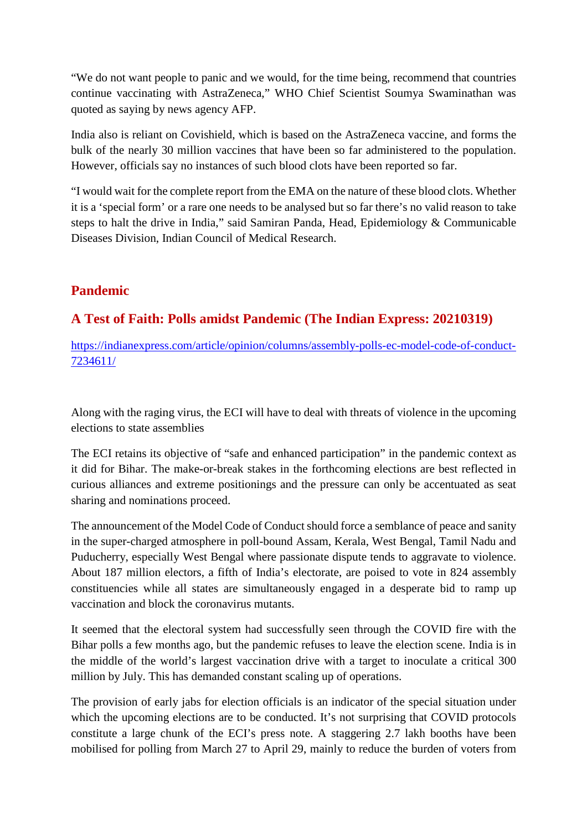"We do not want people to panic and we would, for the time being, recommend that countries continue vaccinating with AstraZeneca," WHO Chief Scientist Soumya Swaminathan was quoted as saying by news agency AFP.

India also is reliant on Covishield, which is based on the AstraZeneca vaccine, and forms the bulk of the nearly 30 million vaccines that have been so far administered to the population. However, officials say no instances of such blood clots have been reported so far.

"I would wait for the complete report from the EMA on the nature of these blood clots. Whether it is a 'special form' or a rare one needs to be analysed but so far there's no valid reason to take steps to halt the drive in India," said Samiran Panda, Head, Epidemiology & Communicable Diseases Division, Indian Council of Medical Research.

#### **Pandemic**

## **A Test of Faith: Polls amidst Pandemic (The Indian Express: 20210319)**

https://indianexpress.com/article/opinion/columns/assembly-polls-ec-model-code-of-conduct-7234611/

Along with the raging virus, the ECI will have to deal with threats of violence in the upcoming elections to state assemblies

The ECI retains its objective of "safe and enhanced participation" in the pandemic context as it did for Bihar. The make-or-break stakes in the forthcoming elections are best reflected in curious alliances and extreme positionings and the pressure can only be accentuated as seat sharing and nominations proceed.

The announcement of the Model Code of Conduct should force a semblance of peace and sanity in the super-charged atmosphere in poll-bound Assam, Kerala, West Bengal, Tamil Nadu and Puducherry, especially West Bengal where passionate dispute tends to aggravate to violence. About 187 million electors, a fifth of India's electorate, are poised to vote in 824 assembly constituencies while all states are simultaneously engaged in a desperate bid to ramp up vaccination and block the coronavirus mutants.

It seemed that the electoral system had successfully seen through the COVID fire with the Bihar polls a few months ago, but the pandemic refuses to leave the election scene. India is in the middle of the world's largest vaccination drive with a target to inoculate a critical 300 million by July. This has demanded constant scaling up of operations.

The provision of early jabs for election officials is an indicator of the special situation under which the upcoming elections are to be conducted. It's not surprising that COVID protocols constitute a large chunk of the ECI's press note. A staggering 2.7 lakh booths have been mobilised for polling from March 27 to April 29, mainly to reduce the burden of voters from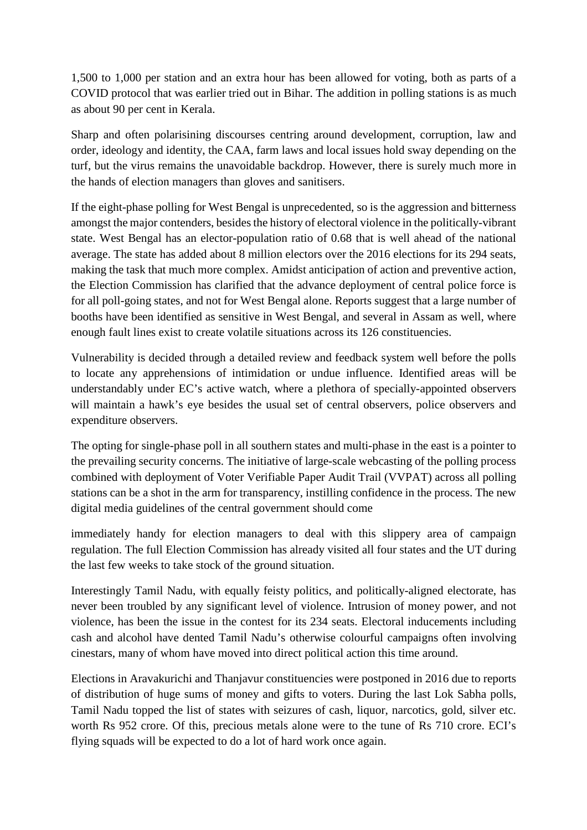1,500 to 1,000 per station and an extra hour has been allowed for voting, both as parts of a COVID protocol that was earlier tried out in Bihar. The addition in polling stations is as much as about 90 per cent in Kerala.

Sharp and often polarisining discourses centring around development, corruption, law and order, ideology and identity, the CAA, farm laws and local issues hold sway depending on the turf, but the virus remains the unavoidable backdrop. However, there is surely much more in the hands of election managers than gloves and sanitisers.

If the eight-phase polling for West Bengal is unprecedented, so is the aggression and bitterness amongst the major contenders, besides the history of electoral violence in the politically-vibrant state. West Bengal has an elector-population ratio of 0.68 that is well ahead of the national average. The state has added about 8 million electors over the 2016 elections for its 294 seats, making the task that much more complex. Amidst anticipation of action and preventive action, the Election Commission has clarified that the advance deployment of central police force is for all poll-going states, and not for West Bengal alone. Reports suggest that a large number of booths have been identified as sensitive in West Bengal, and several in Assam as well, where enough fault lines exist to create volatile situations across its 126 constituencies.

Vulnerability is decided through a detailed review and feedback system well before the polls to locate any apprehensions of intimidation or undue influence. Identified areas will be understandably under EC's active watch, where a plethora of specially-appointed observers will maintain a hawk's eye besides the usual set of central observers, police observers and expenditure observers.

The opting for single-phase poll in all southern states and multi-phase in the east is a pointer to the prevailing security concerns. The initiative of large-scale webcasting of the polling process combined with deployment of Voter Verifiable Paper Audit Trail (VVPAT) across all polling stations can be a shot in the arm for transparency, instilling confidence in the process. The new digital media guidelines of the central government should come

immediately handy for election managers to deal with this slippery area of campaign regulation. The full Election Commission has already visited all four states and the UT during the last few weeks to take stock of the ground situation.

Interestingly Tamil Nadu, with equally feisty politics, and politically-aligned electorate, has never been troubled by any significant level of violence. Intrusion of money power, and not violence, has been the issue in the contest for its 234 seats. Electoral inducements including cash and alcohol have dented Tamil Nadu's otherwise colourful campaigns often involving cinestars, many of whom have moved into direct political action this time around.

Elections in Aravakurichi and Thanjavur constituencies were postponed in 2016 due to reports of distribution of huge sums of money and gifts to voters. During the last Lok Sabha polls, Tamil Nadu topped the list of states with seizures of cash, liquor, narcotics, gold, silver etc. worth Rs 952 crore. Of this, precious metals alone were to the tune of Rs 710 crore. ECI's flying squads will be expected to do a lot of hard work once again.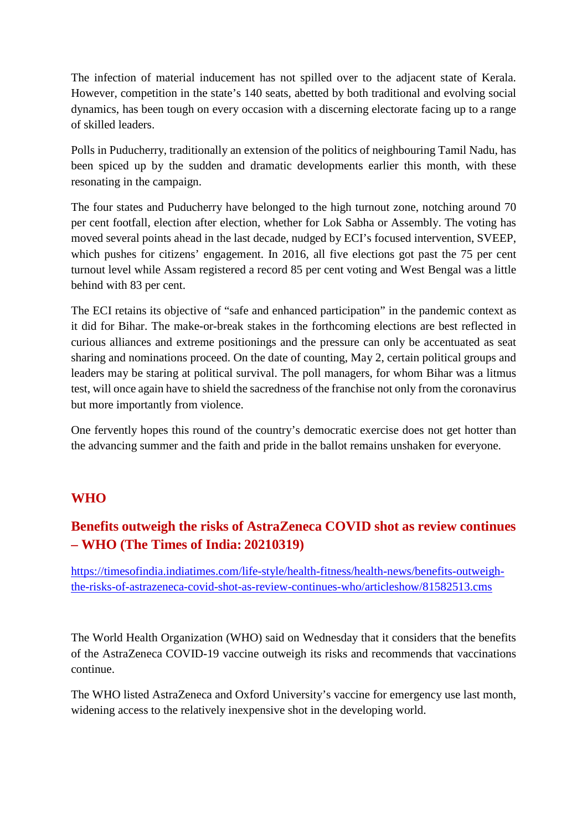The infection of material inducement has not spilled over to the adjacent state of Kerala. However, competition in the state's 140 seats, abetted by both traditional and evolving social dynamics, has been tough on every occasion with a discerning electorate facing up to a range of skilled leaders.

Polls in Puducherry, traditionally an extension of the politics of neighbouring Tamil Nadu, has been spiced up by the sudden and dramatic developments earlier this month, with these resonating in the campaign.

The four states and Puducherry have belonged to the high turnout zone, notching around 70 per cent footfall, election after election, whether for Lok Sabha or Assembly. The voting has moved several points ahead in the last decade, nudged by ECI's focused intervention, SVEEP, which pushes for citizens' engagement. In 2016, all five elections got past the 75 per cent turnout level while Assam registered a record 85 per cent voting and West Bengal was a little behind with 83 per cent.

The ECI retains its objective of "safe and enhanced participation" in the pandemic context as it did for Bihar. The make-or-break stakes in the forthcoming elections are best reflected in curious alliances and extreme positionings and the pressure can only be accentuated as seat sharing and nominations proceed. On the date of counting, May 2, certain political groups and leaders may be staring at political survival. The poll managers, for whom Bihar was a litmus test, will once again have to shield the sacredness of the franchise not only from the coronavirus but more importantly from violence.

One fervently hopes this round of the country's democratic exercise does not get hotter than the advancing summer and the faith and pride in the ballot remains unshaken for everyone.

#### **WHO**

## **Benefits outweigh the risks of AstraZeneca COVID shot as review continues – WHO (The Times of India: 20210319)**

https://timesofindia.indiatimes.com/life-style/health-fitness/health-news/benefits-outweighthe-risks-of-astrazeneca-covid-shot-as-review-continues-who/articleshow/81582513.cms

The World Health Organization (WHO) said on Wednesday that it considers that the benefits of the AstraZeneca COVID-19 vaccine outweigh its risks and recommends that vaccinations continue.

The WHO listed AstraZeneca and Oxford University's vaccine for emergency use last month, widening access to the relatively inexpensive shot in the developing world.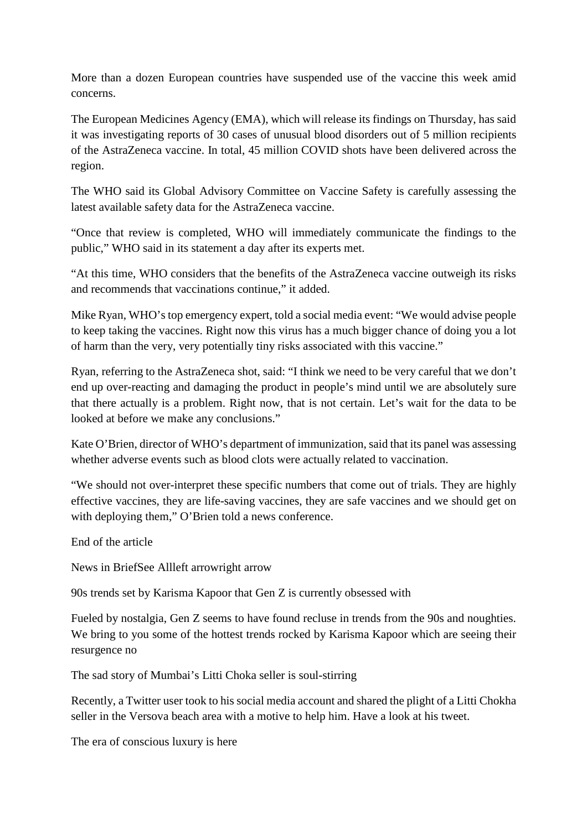More than a dozen European countries have suspended use of the vaccine this week amid concerns.

The European Medicines Agency (EMA), which will release its findings on Thursday, has said it was investigating reports of 30 cases of unusual blood disorders out of 5 million recipients of the AstraZeneca vaccine. In total, 45 million COVID shots have been delivered across the region.

The WHO said its Global Advisory Committee on Vaccine Safety is carefully assessing the latest available safety data for the AstraZeneca vaccine.

"Once that review is completed, WHO will immediately communicate the findings to the public," WHO said in its statement a day after its experts met.

"At this time, WHO considers that the benefits of the AstraZeneca vaccine outweigh its risks and recommends that vaccinations continue," it added.

Mike Ryan, WHO's top emergency expert, told a social media event: "We would advise people to keep taking the vaccines. Right now this virus has a much bigger chance of doing you a lot of harm than the very, very potentially tiny risks associated with this vaccine."

Ryan, referring to the AstraZeneca shot, said: "I think we need to be very careful that we don't end up over-reacting and damaging the product in people's mind until we are absolutely sure that there actually is a problem. Right now, that is not certain. Let's wait for the data to be looked at before we make any conclusions."

Kate O'Brien, director of WHO's department of immunization, said that its panel was assessing whether adverse events such as blood clots were actually related to vaccination.

"We should not over-interpret these specific numbers that come out of trials. They are highly effective vaccines, they are life-saving vaccines, they are safe vaccines and we should get on with deploying them," O'Brien told a news conference.

End of the article

News in BriefSee Allleft arrowright arrow

90s trends set by Karisma Kapoor that Gen Z is currently obsessed with

Fueled by nostalgia, Gen Z seems to have found recluse in trends from the 90s and noughties. We bring to you some of the hottest trends rocked by Karisma Kapoor which are seeing their resurgence no

The sad story of Mumbai's Litti Choka seller is soul-stirring

Recently, a Twitter user took to his social media account and shared the plight of a Litti Chokha seller in the Versova beach area with a motive to help him. Have a look at his tweet.

The era of conscious luxury is here